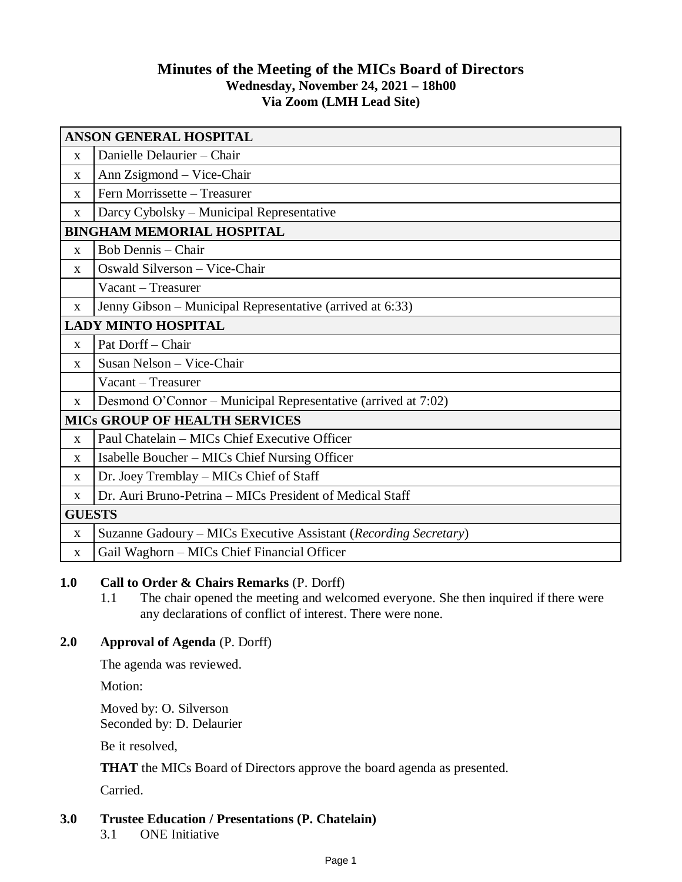# **Minutes of the Meeting of the MICs Board of Directors Wednesday, November 24, 2021 – 18h00 Via Zoom (LMH Lead Site)**

| <b>ANSON GENERAL HOSPITAL</b>        |                                                                  |
|--------------------------------------|------------------------------------------------------------------|
| $\mathbf{X}$                         | Danielle Delaurier - Chair                                       |
| X                                    | Ann Zsigmond - Vice-Chair                                        |
| X                                    | Fern Morrissette - Treasurer                                     |
| X                                    | Darcy Cybolsky - Municipal Representative                        |
| <b>BINGHAM MEMORIAL HOSPITAL</b>     |                                                                  |
| $\mathbf{x}$                         | Bob Dennis – Chair                                               |
| $\mathbf{X}$                         | Oswald Silverson - Vice-Chair                                    |
|                                      | Vacant - Treasurer                                               |
| $\mathbf{X}$                         | Jenny Gibson – Municipal Representative (arrived at 6:33)        |
| <b>LADY MINTO HOSPITAL</b>           |                                                                  |
| $\mathbf{x}$                         | Pat Dorff - Chair                                                |
| $\mathbf X$                          | Susan Nelson - Vice-Chair                                        |
|                                      | Vacant – Treasurer                                               |
| $\mathbf{X}$                         | Desmond O'Connor – Municipal Representative (arrived at 7:02)    |
| <b>MICS GROUP OF HEALTH SERVICES</b> |                                                                  |
| $\mathbf{X}$                         | Paul Chatelain – MICs Chief Executive Officer                    |
| X                                    | Isabelle Boucher - MICs Chief Nursing Officer                    |
| $\mathbf X$                          | Dr. Joey Tremblay - MICs Chief of Staff                          |
| X                                    | Dr. Auri Bruno-Petrina – MICs President of Medical Staff         |
| <b>GUESTS</b>                        |                                                                  |
| X                                    | Suzanne Gadoury - MICs Executive Assistant (Recording Secretary) |
| $\mathbf{X}$                         | Gail Waghorn - MICs Chief Financial Officer                      |

## **1.0 Call to Order & Chairs Remarks** (P. Dorff)

1.1 The chair opened the meeting and welcomed everyone. She then inquired if there were any declarations of conflict of interest. There were none.

### **2.0 Approval of Agenda** (P. Dorff)

The agenda was reviewed.

Motion:

Moved by: O. Silverson Seconded by: D. Delaurier

Be it resolved,

**THAT** the MICs Board of Directors approve the board agenda as presented.

Carried.

### **3.0 Trustee Education / Presentations (P. Chatelain)**

3.1 ONE Initiative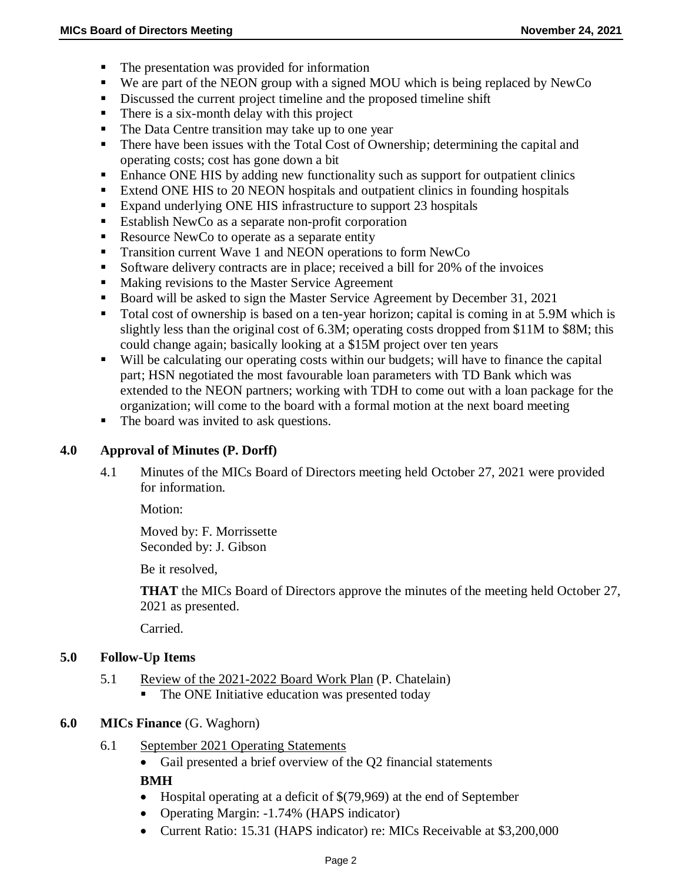- The presentation was provided for information
- We are part of the NEON group with a signed MOU which is being replaced by NewCo
- Discussed the current project timeline and the proposed timeline shift
- There is a six-month delay with this project
- The Data Centre transition may take up to one year
- **There have been issues with the Total Cost of Ownership; determining the capital and** operating costs; cost has gone down a bit
- Enhance ONE HIS by adding new functionality such as support for outpatient clinics
- Extend ONE HIS to 20 NEON hospitals and outpatient clinics in founding hospitals
- Expand underlying ONE HIS infrastructure to support 23 hospitals
- Establish NewCo as a separate non-profit corporation
- Resource NewCo to operate as a separate entity
- Transition current Wave 1 and NEON operations to form NewCo
- Software delivery contracts are in place; received a bill for 20% of the invoices
- Making revisions to the Master Service Agreement
- Board will be asked to sign the Master Service Agreement by December 31, 2021
- Total cost of ownership is based on a ten-year horizon; capital is coming in at 5.9M which is slightly less than the original cost of 6.3M; operating costs dropped from \$11M to \$8M; this could change again; basically looking at a \$15M project over ten years
- Will be calculating our operating costs within our budgets; will have to finance the capital part; HSN negotiated the most favourable loan parameters with TD Bank which was extended to the NEON partners; working with TDH to come out with a loan package for the organization; will come to the board with a formal motion at the next board meeting
- The board was invited to ask questions.

### **4.0 Approval of Minutes (P. Dorff)**

4.1 Minutes of the MICs Board of Directors meeting held October 27, 2021 were provided for information.

Motion:

Moved by: F. Morrissette Seconded by: J. Gibson

Be it resolved,

**THAT** the MICs Board of Directors approve the minutes of the meeting held October 27, 2021 as presented.

Carried.

### **5.0 Follow-Up Items**

- 5.1 Review of the 2021-2022 Board Work Plan (P. Chatelain)
	- **The ONE Initiative education was presented today**

### **6.0 MICs Finance** (G. Waghorn)

- 6.1 September 2021 Operating Statements
	- Gail presented a brief overview of the Q2 financial statements

**BMH**

- $\bullet$  Hospital operating at a deficit of \$(79,969) at the end of September
- Operating Margin: -1.74% (HAPS indicator)
- Current Ratio: 15.31 (HAPS indicator) re: MICs Receivable at \$3,200,000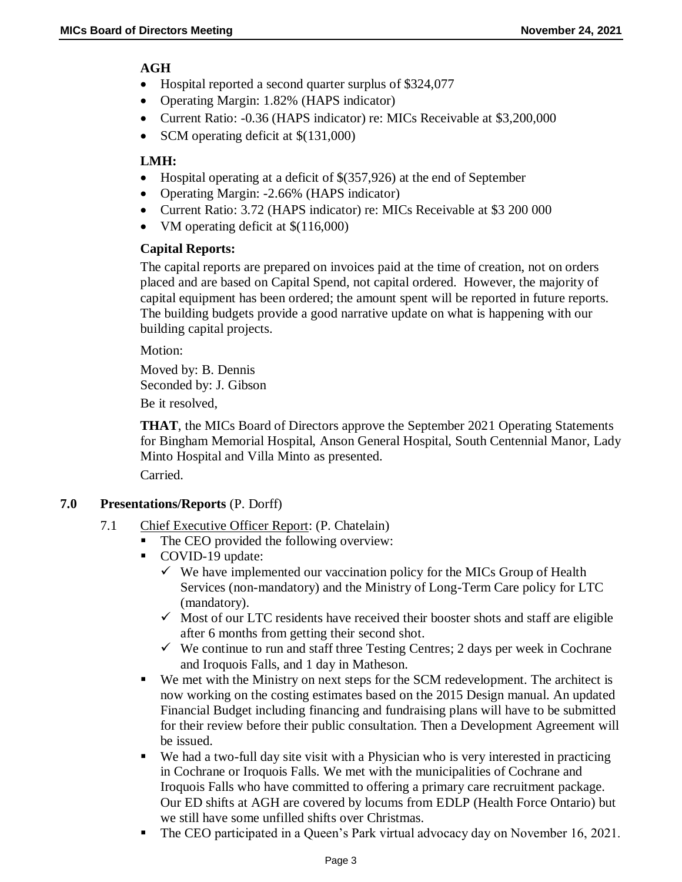# **AGH**

- Hospital reported a second quarter surplus of \$324,077
- Operating Margin: 1.82% (HAPS indicator)
- Current Ratio: -0.36 (HAPS indicator) re: MICs Receivable at \$3,200,000
- SCM operating deficit at  $$(131,000)$

# **LMH:**

- Hospital operating at a deficit of \$(357,926) at the end of September
- Operating Margin: -2.66% (HAPS indicator)
- Current Ratio: 3.72 (HAPS indicator) re: MICs Receivable at \$3 200 000
- VM operating deficit at  $$(116,000)$

## **Capital Reports:**

The capital reports are prepared on invoices paid at the time of creation, not on orders placed and are based on Capital Spend, not capital ordered. However, the majority of capital equipment has been ordered; the amount spent will be reported in future reports. The building budgets provide a good narrative update on what is happening with our building capital projects.

Motion:

Moved by: B. Dennis Seconded by: J. Gibson

Be it resolved,

**THAT**, the MICs Board of Directors approve the September 2021 Operating Statements for Bingham Memorial Hospital, Anson General Hospital, South Centennial Manor, Lady Minto Hospital and Villa Minto as presented. Carried.

**7.0 Presentations/Reports** (P. Dorff)

- 7.1 Chief Executive Officer Report: (P. Chatelain)
	- The CEO provided the following overview:
	- COVID-19 update:
		- $\checkmark$  We have implemented our vaccination policy for the MICs Group of Health Services (non-mandatory) and the Ministry of Long-Term Care policy for LTC (mandatory).
		- $\checkmark$  Most of our LTC residents have received their booster shots and staff are eligible after 6 months from getting their second shot.
		- $\checkmark$  We continue to run and staff three Testing Centres; 2 days per week in Cochrane and Iroquois Falls, and 1 day in Matheson.
	- We met with the Ministry on next steps for the SCM redevelopment. The architect is now working on the costing estimates based on the 2015 Design manual. An updated Financial Budget including financing and fundraising plans will have to be submitted for their review before their public consultation. Then a Development Agreement will be issued.
	- We had a two-full day site visit with a Physician who is very interested in practicing in Cochrane or Iroquois Falls. We met with the municipalities of Cochrane and Iroquois Falls who have committed to offering a primary care recruitment package. Our ED shifts at AGH are covered by locums from EDLP (Health Force Ontario) but we still have some unfilled shifts over Christmas.
	- The CEO participated in a Queen's Park virtual advocacy day on November 16, 2021.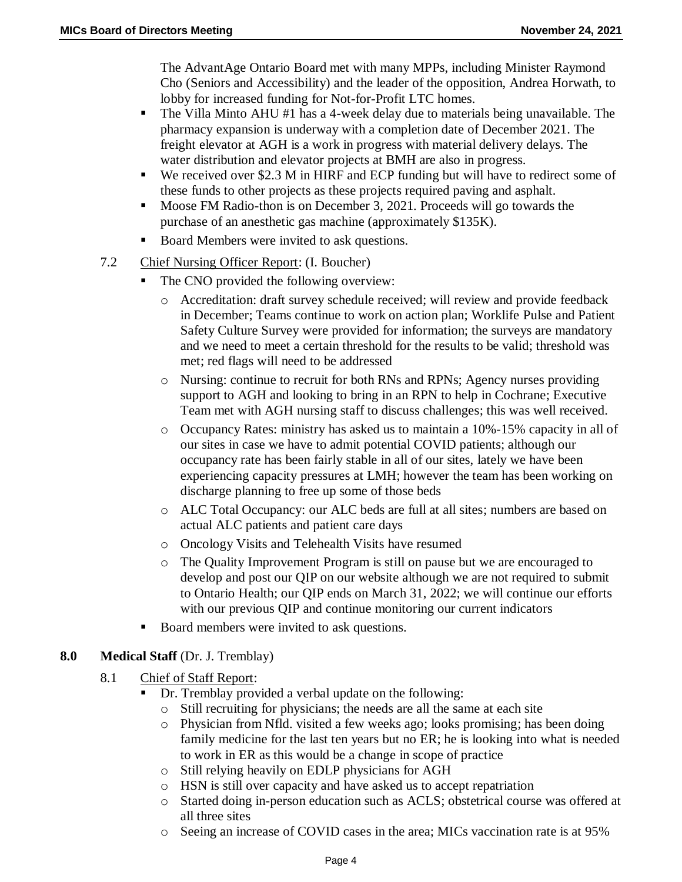The AdvantAge Ontario Board met with many MPPs, including Minister Raymond Cho (Seniors and Accessibility) and the leader of the opposition, Andrea Horwath, to lobby for increased funding for Not-for-Profit LTC homes.

- The Villa Minto AHU #1 has a 4-week delay due to materials being unavailable. The pharmacy expansion is underway with a completion date of December 2021. The freight elevator at AGH is a work in progress with material delivery delays. The water distribution and elevator projects at BMH are also in progress.
- We received over \$2.3 M in HIRF and ECP funding but will have to redirect some of these funds to other projects as these projects required paving and asphalt.
- **Moose FM Radio-thon is on December 3, 2021. Proceeds will go towards the** purchase of an anesthetic gas machine (approximately \$135K).
- Board Members were invited to ask questions.
- 7.2 Chief Nursing Officer Report: (I. Boucher)
	- The CNO provided the following overview:
		- o Accreditation: draft survey schedule received; will review and provide feedback in December; Teams continue to work on action plan; Worklife Pulse and Patient Safety Culture Survey were provided for information; the surveys are mandatory and we need to meet a certain threshold for the results to be valid; threshold was met; red flags will need to be addressed
		- o Nursing: continue to recruit for both RNs and RPNs; Agency nurses providing support to AGH and looking to bring in an RPN to help in Cochrane; Executive Team met with AGH nursing staff to discuss challenges; this was well received.
		- o Occupancy Rates: ministry has asked us to maintain a 10%-15% capacity in all of our sites in case we have to admit potential COVID patients; although our occupancy rate has been fairly stable in all of our sites, lately we have been experiencing capacity pressures at LMH; however the team has been working on discharge planning to free up some of those beds
		- o ALC Total Occupancy: our ALC beds are full at all sites; numbers are based on actual ALC patients and patient care days
		- o Oncology Visits and Telehealth Visits have resumed
		- o The Quality Improvement Program is still on pause but we are encouraged to develop and post our QIP on our website although we are not required to submit to Ontario Health; our QIP ends on March 31, 2022; we will continue our efforts with our previous QIP and continue monitoring our current indicators
	- Board members were invited to ask questions.

## **8.0 Medical Staff** (Dr. J. Tremblay)

- 8.1 Chief of Staff Report:
	- Dr. Tremblay provided a verbal update on the following:
	- o Still recruiting for physicians; the needs are all the same at each site
	- o Physician from Nfld. visited a few weeks ago; looks promising; has been doing family medicine for the last ten years but no ER; he is looking into what is needed to work in ER as this would be a change in scope of practice
	- o Still relying heavily on EDLP physicians for AGH
	- o HSN is still over capacity and have asked us to accept repatriation
	- o Started doing in-person education such as ACLS; obstetrical course was offered at all three sites
	- o Seeing an increase of COVID cases in the area; MICs vaccination rate is at 95%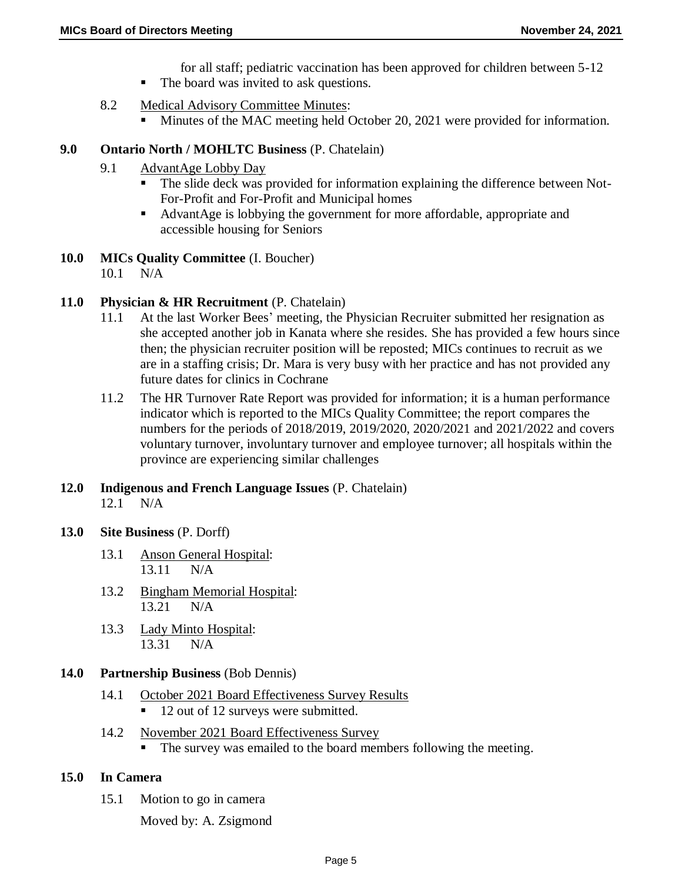- for all staff; pediatric vaccination has been approved for children between 5-12
- The board was invited to ask questions.
- 8.2 Medical Advisory Committee Minutes:
	- Minutes of the MAC meeting held October 20, 2021 were provided for information.

# **9.0 Ontario North / MOHLTC Business** (P. Chatelain)

- 9.1 AdvantAge Lobby Day
	- The slide deck was provided for information explaining the difference between Not-For-Profit and For-Profit and Municipal homes
	- AdvantAge is lobbying the government for more affordable, appropriate and accessible housing for Seniors
- **10.0 MICs Quality Committee** (I. Boucher)

10.1 N/A

# **11.0 Physician & HR Recruitment** (P. Chatelain)

- 11.1 At the last Worker Bees' meeting, the Physician Recruiter submitted her resignation as she accepted another job in Kanata where she resides. She has provided a few hours since then; the physician recruiter position will be reposted; MICs continues to recruit as we are in a staffing crisis; Dr. Mara is very busy with her practice and has not provided any future dates for clinics in Cochrane
- 11.2 The HR Turnover Rate Report was provided for information; it is a human performance indicator which is reported to the MICs Quality Committee; the report compares the numbers for the periods of 2018/2019, 2019/2020, 2020/2021 and 2021/2022 and covers voluntary turnover, involuntary turnover and employee turnover; all hospitals within the province are experiencing similar challenges

### **12.0 Indigenous and French Language Issues** (P. Chatelain) 12.1 N/A

- **13.0 Site Business** (P. Dorff)
	- 13.1 Anson General Hospital: 13.11 N/A
	- 13.2 Bingham Memorial Hospital: 13.21 N/A
	- 13.3 Lady Minto Hospital: 13.31 N/A

## **14.0 Partnership Business** (Bob Dennis)

- 14.1 October 2021 Board Effectiveness Survey Results ■ 12 out of 12 surveys were submitted.
- 14.2 November 2021 Board Effectiveness Survey
	- The survey was emailed to the board members following the meeting.

## **15.0 In Camera**

15.1 Motion to go in camera

Moved by: A. Zsigmond